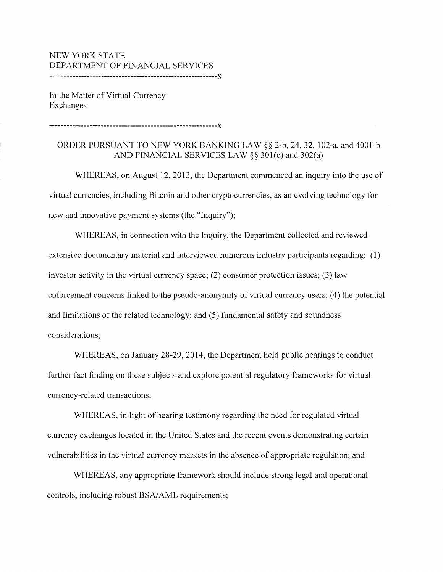## NEW YORK STATE DEPARTMENT OF FINANCIAL SERVICES

----------------------------------------------------------X

In the Matter of Virtual Currency Exchanges

----------------------------------------------------------X

## ORDER PURSUANT TO NEW YORK BANKING LAW§§ 2-b, 24, 32, 102-a, and 4001-b AND FINANCIAL SERVICES LAW§§ 301(c) and 302(a)

WHEREAS, on August 12, 2013, the Department commenced an inquiry into the use of virtual currencies, including Bitcoin and other cryptocurrencies, as an evolving technology for new and innovative payment systems (the "Inquiry");

WHEREAS, in connection with the Inquiry, the Department collected and reviewed extensive documentary material and interviewed numerous industry participants regarding: (1) investor activity in the virtual currency space; (2) consumer protection issues; (3) law enforcement concerns linked to the pseudo-anonymity of virtual currency users; (4) the potential and limitations of the related technology; and (5) fundamental safety and soundness considerations;

WHEREAS, on January 28-29, 2014, the Department held public hearings to conduct further fact finding on these subjects and explore potential regulatory frameworks for virtual currency-related transactions;

WHEREAS, in light of hearing testimony regarding the need for regulated virtual currency exchanges located in the United States and the recent events demonstrating certain vulnerabilities in the virtual currency markets in the absence of appropriate regulation; and

WHEREAS, any appropriate framework should include strong legal and operational controls, including robust BSA/AML requirements;